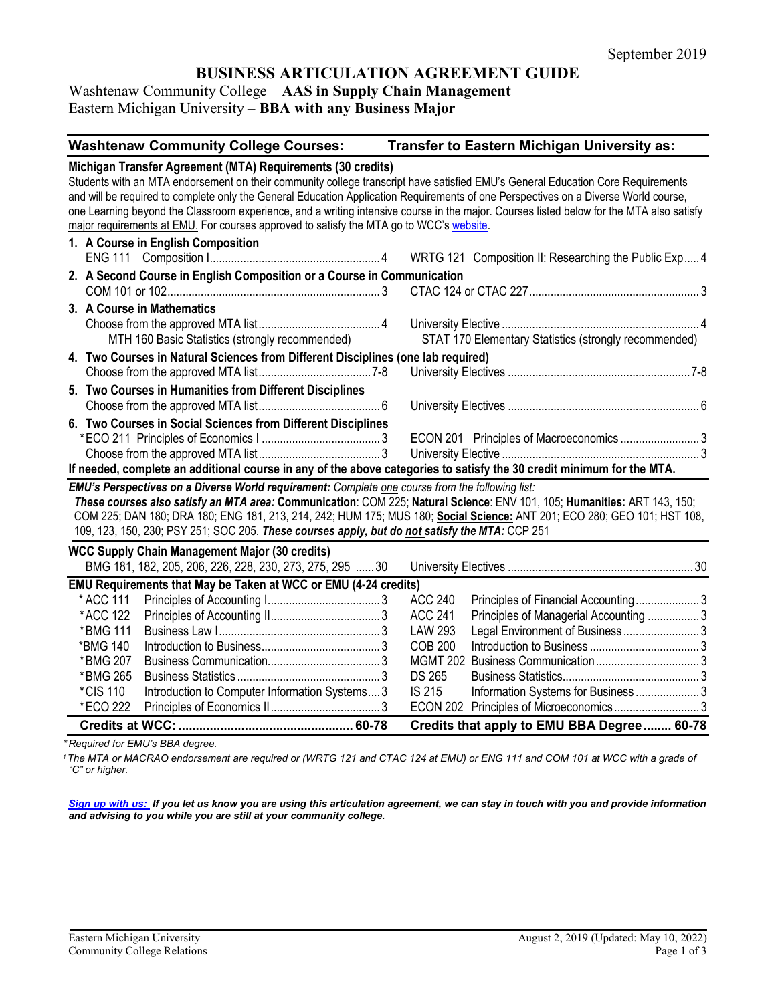# **BUSINESS ARTICULATION AGREEMENT GUIDE**

### Washtenaw Community College – **AAS in Supply Chain Management** Eastern Michigan University – **BBA with any Business Major**

| <b>Washtenaw Community College Courses:</b>                                                                                                                                                                                                                                                                                                                                                                                                                                                                                                                                  |  |                 | Transfer to Eastern Michigan University as:           |  |  |
|------------------------------------------------------------------------------------------------------------------------------------------------------------------------------------------------------------------------------------------------------------------------------------------------------------------------------------------------------------------------------------------------------------------------------------------------------------------------------------------------------------------------------------------------------------------------------|--|-----------------|-------------------------------------------------------|--|--|
| Michigan Transfer Agreement (MTA) Requirements (30 credits)<br>Students with an MTA endorsement on their community college transcript have satisfied EMU's General Education Core Requirements<br>and will be required to complete only the General Education Application Requirements of one Perspectives on a Diverse World course,<br>one Learning beyond the Classroom experience, and a writing intensive course in the major. Courses listed below for the MTA also satisfy<br>major requirements at EMU. For courses approved to satisfy the MTA go to WCC's website. |  |                 |                                                       |  |  |
| 1. A Course in English Composition                                                                                                                                                                                                                                                                                                                                                                                                                                                                                                                                           |  |                 |                                                       |  |  |
|                                                                                                                                                                                                                                                                                                                                                                                                                                                                                                                                                                              |  |                 | WRTG 121 Composition II: Researching the Public Exp4  |  |  |
| 2. A Second Course in English Composition or a Course in Communication                                                                                                                                                                                                                                                                                                                                                                                                                                                                                                       |  |                 |                                                       |  |  |
|                                                                                                                                                                                                                                                                                                                                                                                                                                                                                                                                                                              |  |                 |                                                       |  |  |
| 3. A Course in Mathematics                                                                                                                                                                                                                                                                                                                                                                                                                                                                                                                                                   |  |                 |                                                       |  |  |
| MTH 160 Basic Statistics (strongly recommended)                                                                                                                                                                                                                                                                                                                                                                                                                                                                                                                              |  |                 | STAT 170 Elementary Statistics (strongly recommended) |  |  |
|                                                                                                                                                                                                                                                                                                                                                                                                                                                                                                                                                                              |  |                 |                                                       |  |  |
| 4. Two Courses in Natural Sciences from Different Disciplines (one lab required)                                                                                                                                                                                                                                                                                                                                                                                                                                                                                             |  |                 |                                                       |  |  |
| 5. Two Courses in Humanities from Different Disciplines                                                                                                                                                                                                                                                                                                                                                                                                                                                                                                                      |  |                 |                                                       |  |  |
|                                                                                                                                                                                                                                                                                                                                                                                                                                                                                                                                                                              |  |                 |                                                       |  |  |
| 6. Two Courses in Social Sciences from Different Disciplines                                                                                                                                                                                                                                                                                                                                                                                                                                                                                                                 |  |                 |                                                       |  |  |
|                                                                                                                                                                                                                                                                                                                                                                                                                                                                                                                                                                              |  |                 | ECON 201 Principles of Macroeconomics 3               |  |  |
|                                                                                                                                                                                                                                                                                                                                                                                                                                                                                                                                                                              |  |                 |                                                       |  |  |
| If needed, complete an additional course in any of the above categories to satisfy the 30 credit minimum for the MTA.                                                                                                                                                                                                                                                                                                                                                                                                                                                        |  |                 |                                                       |  |  |
| EMU's Perspectives on a Diverse World requirement: Complete one course from the following list:                                                                                                                                                                                                                                                                                                                                                                                                                                                                              |  |                 |                                                       |  |  |
| These courses also satisfy an MTA area: Communication: COM 225; Natural Science: ENV 101, 105; Humanities: ART 143, 150;<br>COM 225; DAN 180; DRA 180; ENG 181, 213, 214, 242; HUM 175; MUS 180; Social Science: ANT 201; ECO 280; GEO 101; HST 108,<br>109, 123, 150, 230; PSY 251; SOC 205. These courses apply, but do not satisfy the MTA: CCP 251                                                                                                                                                                                                                       |  |                 |                                                       |  |  |
| <b>WCC Supply Chain Management Major (30 credits)</b>                                                                                                                                                                                                                                                                                                                                                                                                                                                                                                                        |  |                 |                                                       |  |  |
| BMG 181, 182, 205, 206, 226, 228, 230, 273, 275, 295  30                                                                                                                                                                                                                                                                                                                                                                                                                                                                                                                     |  |                 |                                                       |  |  |
| EMU Requirements that May be Taken at WCC or EMU (4-24 credits)                                                                                                                                                                                                                                                                                                                                                                                                                                                                                                              |  |                 |                                                       |  |  |
| * ACC 111                                                                                                                                                                                                                                                                                                                                                                                                                                                                                                                                                                    |  | <b>ACC 240</b>  | Principles of Financial Accounting3                   |  |  |
| *ACC 122                                                                                                                                                                                                                                                                                                                                                                                                                                                                                                                                                                     |  | <b>ACC 241</b>  | Principles of Managerial Accounting 3                 |  |  |
| *BMG 111                                                                                                                                                                                                                                                                                                                                                                                                                                                                                                                                                                     |  | <b>LAW 293</b>  | Legal Environment of Business  3                      |  |  |
| *BMG 140                                                                                                                                                                                                                                                                                                                                                                                                                                                                                                                                                                     |  | <b>COB 200</b>  |                                                       |  |  |
| *BMG 207                                                                                                                                                                                                                                                                                                                                                                                                                                                                                                                                                                     |  | <b>MGMT 202</b> |                                                       |  |  |
| *BMG 265                                                                                                                                                                                                                                                                                                                                                                                                                                                                                                                                                                     |  | <b>DS 265</b>   |                                                       |  |  |
| Introduction to Computer Information Systems 3<br>*CIS 110                                                                                                                                                                                                                                                                                                                                                                                                                                                                                                                   |  | IS 215          | Information Systems for Business  3                   |  |  |
| *ECO 222                                                                                                                                                                                                                                                                                                                                                                                                                                                                                                                                                                     |  | <b>ECON 202</b> |                                                       |  |  |
|                                                                                                                                                                                                                                                                                                                                                                                                                                                                                                                                                                              |  |                 | Credits that apply to EMU BBA Degree  60-78           |  |  |

*\* Required for EMU's BBA degree.*

*<sup>1</sup>The MTA or MACRAO endorsement are required or (WRTG 121 and CTAC 124 at EMU) or ENG 111 and COM 101 at WCC with a grade of "C" or higher.*

*[Sign up with us:](https://www.emich.edu/ccr/articulation-agreements/signup.php) If you let us know you are using this articulation agreement, we can stay in touch with you and provide information and advising to you while you are still at your community college.*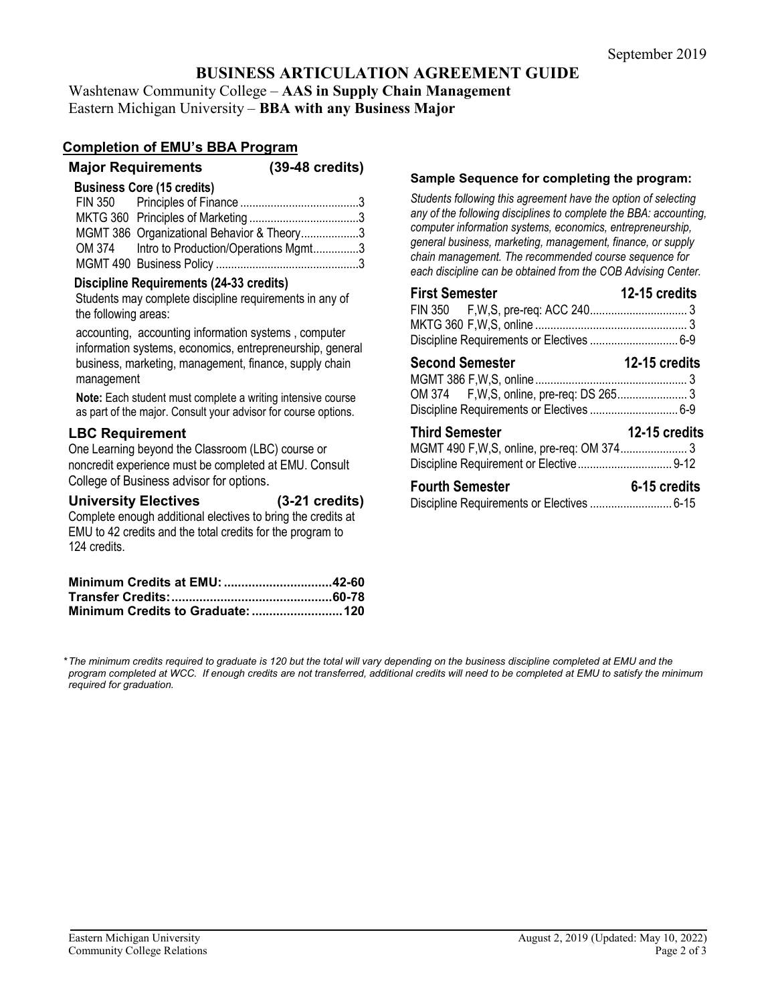# **BUSINESS ARTICULATION AGREEMENT GUIDE**

Washtenaw Community College – **AAS in Supply Chain Management** Eastern Michigan University – **BBA with any Business Major**

### **Completion of EMU's BBA Program**

| <b>Major Requirements</b> | $(39-48 \text{ credits})$ |
|---------------------------|---------------------------|
|                           |                           |

#### **Business Core (15 credits)**

| MGMT 386 Organizational Behavior & Theory3  |  |
|---------------------------------------------|--|
| OM 374 Intro to Production/Operations Mgmt3 |  |
|                                             |  |

### **Discipline Requirements (24-33 credits)**

Students may complete discipline requirements in any of the following areas:

accounting, accounting information systems , computer information systems, economics, entrepreneurship, general business, marketing, management, finance, supply chain management

**Note:** Each student must complete a writing intensive course as part of the major. Consult your advisor for course options.

### **LBC Requirement**

One Learning beyond the Classroom (LBC) course or noncredit experience must be completed at EMU. Consult College of Business advisor for options.

### **University Electives (3-21 credits)**

Complete enough additional electives to bring the credits at EMU to 42 credits and the total credits for the program to 124 credits.

#### **Sample Sequence for completing the program:**

*Students following this agreement have the option of selecting any of the following disciplines to complete the BBA: accounting, computer information systems, economics, entrepreneurship, general business, marketing, management, finance, or supply chain management. The recommended course sequence for each discipline can be obtained from the COB Advising Center.* 

| <b>First Semester</b>  | 12-15 credits        |
|------------------------|----------------------|
|                        |                      |
|                        |                      |
|                        |                      |
| <b>Second Semester</b> | <b>12-15 credits</b> |
|                        |                      |
|                        |                      |
| <b>Third Semester</b>  | 12-15 credits        |
|                        |                      |
| <b>Fourth Semester</b> | 6-15 credits         |
|                        |                      |

*\*The minimum credits required to graduate is 120 but the total will vary depending on the business discipline completed at EMU and the*  program completed at WCC. If enough credits are not transferred, additional credits will need to be completed at EMU to satisfy the minimum *required for graduation.*